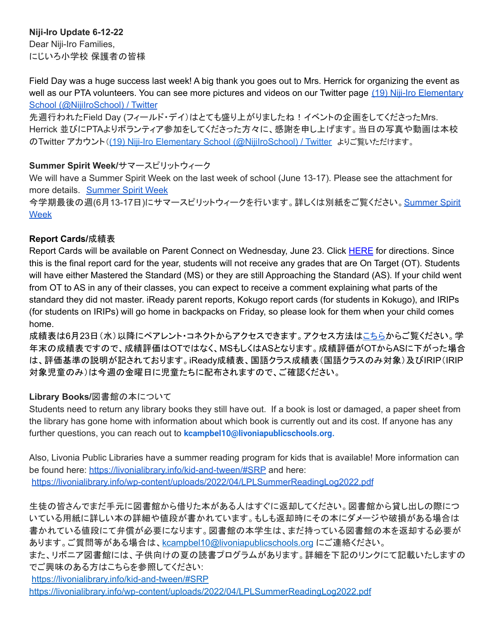# **Niji-Iro Update 6-12-22**

Dear Niji-Iro Families, にじいろ小学校 保護者の皆様

Field Day was a huge success last week! A big thank you goes out to Mrs. Herrick for organizing the event as well as our PTA volunteers. You can see more pictures and videos on our Twitter page (19) Niji-Iro [Elementary](https://twitter.com/NijiIroSchool) School [\(@NijiIroSchool\)](https://twitter.com/NijiIroSchool) / Twitter

先週行われたField Day (フィールド・デイ)はとても盛り上がりましたね!イベントの企画をしてくださったMrs. Herrick 並びにPTAよりボランティア参加をしてくださった方々に、感謝を申し上げます。当日の写真や動画は本校 のTwitter アカウント((19) Niji-Iro Elementary School [\(@NijiIroSchool\)](https://twitter.com/NijiIroSchool) / Twitter よりご覧いただけます。

## **Summer Spirit Week/**サマースピリットウィーク

We will have a Summer Spirit Week on the last week of school (June 13-17). Please see the attachment for more details. [Summer](https://docs.google.com/presentation/d/1C1_etcmwwGGeEgqWjPgiC9_hozCO8ut6LWuqJ278yEE/edit#slide=id.p) Spirit Week

今学期最後の週(6月13-17日)にサマースピリットウィークを行います。詳しくは別紙をご覧ください。[Summer](https://docs.google.com/presentation/d/1C1_etcmwwGGeEgqWjPgiC9_hozCO8ut6LWuqJ278yEE/edit#slide=id.p) Spirit [Week](https://docs.google.com/presentation/d/1C1_etcmwwGGeEgqWjPgiC9_hozCO8ut6LWuqJ278yEE/edit#slide=id.p)

## **Report Cards/**成績表

Report Cards will be available on Parent Connect on Wednesday, June 23. Click [HERE](https://livoniapublicschoolsorg.sharepoint.com/:w:/r/sites/elementaryprincipals/_layouts/15/Doc.aspx?sourcedoc=%7BF44045EA-A86B-4F33-8089-2663FA8A2BA1%7D&file=How%20Parents%20View%20Report%20Cards%20on%20Parent%20Connection.docx&wdOrigin=OFFICECOM-WEB.MAIN.OTHER&ct=1606837518026&action=default&mobileredirect=true) for directions. Since this is the final report card for the year, students will not receive any grades that are On Target (OT). Students will have either Mastered the Standard (MS) or they are still Approaching the Standard (AS). If your child went from OT to AS in any of their classes, you can expect to receive a comment explaining what parts of the standard they did not master. iReady parent reports, Kokugo report cards (for students in Kokugo), and IRIPs (for students on IRIPs) will go home in backpacks on Friday, so please look for them when your child comes home.

成績表は6月23日(水)以降にペアレント・コネクトからアクセスできます。アクセス方法[はこちら](https://livoniapublicschoolsorg.sharepoint.com/:w:/r/sites/elementaryprincipals/_layouts/15/Doc.aspx?sourcedoc=%7BF44045EA-A86B-4F33-8089-2663FA8A2BA1%7D&file=How%20Parents%20View%20Report%20Cards%20on%20Parent%20Connection.docx&wdOrigin=OFFICECOM-WEB.MAIN.OTHER&ct=1606837518026&action=default&mobileredirect=true)からご覧ください。学 年末の成績表ですので、成績評価はOTではなく、MSもしくはASとなります。成績評価がOTからASに下がった場合 は、評価基準の説明が記されております。iReady成績表、国語クラス成績表(国語クラスのみ対象)及びIRIP(IRIP 対象児童のみ)は今週の金曜日に児童たちに配布されますので、ご確認ください。

## **Library Books/**図書館の本について

Students need to return any library books they still have out. If a book is lost or damaged, a paper sheet from the library has gone home with information about which book is currently out and its cost. If anyone has any further questions, you can reach out to **kcampbel10@livoniapublicschools.org.**

Also, Livonia Public Libraries have a summer reading program for kids that is available! More information can be found here: <https://livonialibrary.info/kid-and-tween/#SRP> and here: <https://livonialibrary.info/wp-content/uploads/2022/04/LPLSummerReadingLog2022.pdf>

生徒の皆さんでまだ手元に図書館から借りた本がある人はすぐに返却してください。図書館から貸し出しの際につ いている用紙に詳しい本の詳細や値段が書かれています。もしも返却時にその本にダメージや破損がある場合は 書かれている値段にて弁償が必要になります。図書館の本学生は、まだ持っている図書館の本を返却する必要が あります。ご質問等がある場合は、kcampbel10@livoniapublicschools.org にご連絡ください。

また、リボニア図書館には、子供向けの夏の読書プログラムがあります。詳細を下記のリンクにて記載いたしますの でご興味のある方はこちらを参照してください:

<https://livonialibrary.info/kid-and-tween/#SRP> <https://livonialibrary.info/wp-content/uploads/2022/04/LPLSummerReadingLog2022.pdf>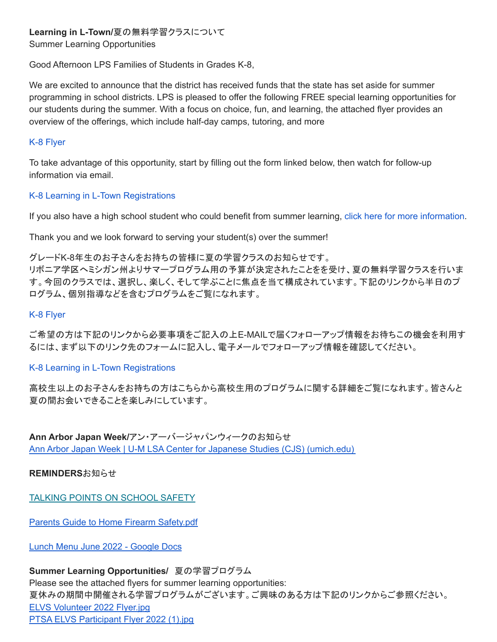# **Learning in L-Town/**夏の無料学習クラスについて

Summer Learning Opportunities

Good Afternoon LPS Families of Students in Grades K-8,

We are excited to announce that the district has received funds that the state has set aside for summer programming in school districts. LPS is pleased to offer the following FREE special learning opportunities for our students during the summer. With a focus on choice, fun, and learning, the attached flyer provides an overview of the offerings, which include half-day camps, tutoring, and more

#### K-8 [Flyer](http://track.spe.schoolmessenger.com/f/a/-fELlh6UC5_Rrhsgs-0rUw~~/AAAAAQA~/RgRkf3T8P4RPAmh0dHA6Ly90cmFjay5zcGUuc2Nob29sbWVzc2VuZ2VyLmNvbS9mL2EvM2l4LVUzTk12YzBxVzlrR1BiTTYtd35-L0FBQUFBUUF-L1JnUmtmMXcxUDRRN0FXaDBkSEE2THk5MGNtRmpheTV6Y0dVdWMyTm9iMjlzYldWemMyVnVaMlZ5TG1OdmJTOW1MMkV2YVVGcFdsazBXVXBRZFV3Mk9URnJkMmhTUlRWQ1ozNS1MMEZCUVVGQlVVRi1MMUpuVW10bU1HSkZVREJTZEdGSVVqQmpTRTAyVEhrNU0yUXpZM1ZpUjJ3eVlqSTFjRmxZUWpGWmJYaHdXVE5PYW1GSE9YWmlTRTExWWpOS2Jrd3lUblJqZVRsellWZEpkbFJWYXpGTlJFRjNUVVJSTVUxVE9VUmFWelV3WTIxc2FtRllValZNTUZKMllsZEdjR0pwT0RCTWVrbDNUV3BKYkUxcVFrMVNWVVpUVkd0c1QxSjVWWGxOUld4UFNsUkpkMVJETVZWVU1XUlBURzVDYTFwc1kwaGpNazV2WWpJNWMySlZTVXRaY0doRlJUVTFhVEZOVWxweFZrbG9ZVEpPZG1KSGVEVmFXRXBCWWtkc01tSXlOWEJaV0VJeFdXMTRjRmt6VG1waFJ6bDJZa2hOZFdJelNtNVhRVkZCUVVGQlFsY0hjMk5vYjI5c2JVSUtZcGkxS0o1aXJ4SnpYMUloYldSaGNtRnphMkZBYkdsMmIyNXBZWEIxWW14cFkzTmphRzl2YkhNdWIzSm5XQVFBQUFBQlcHc2Nob29sbUIKYph8QZ5irxKA0VIgbGRlbHVjYUBsaXZvbmlhcHVibGljc2Nob29scy5vcmdYBAAAAAE~)

To take advantage of this opportunity, start by filling out the form linked below, then watch for follow-up information via email.

## K-8 Learning in L-Town [Registrations](http://track.spe.schoolmessenger.com/f/a/75UCNJH_bRz4tjAq4erTzQ~~/AAAAAQA~/RgRkf3T8P4TPAWh0dHA6Ly90cmFjay5zcGUuc2Nob29sbWVzc2VuZ2VyLmNvbS9mL2EvWkJVN0tWTFdnM1FNRDdvMEhRaU1HUX5-L0FBQUFBUUF-L1JnUmtmMXcxUDBUYmFIUjBjRG92TDNSeVlXTnJMbk53WlM1elkyaHZiMnh0WlhOelpXNW5aWEl1WTI5dEwyWXZZUzloYVU1YVVIcFBRVVJ5YlhWZlRsTXdXbG95T0ZwQmZuNHZRVUZCUVVGUlFYNHZVbWRTYTJZd1lrVlFNRkZxWVVoU01HTklUVFpNZVRsdFlqTktkR041Tlc1aVIxVjJZVEJhTWxZelJrOWhiRTVVVVZWYWVHVlVUbWxhUkd4WVFqTk9hbUZIT1haaVJ6RkRRMjFMV1ZKQ1QyVlpkRlJGVjJGc1UwbFhkR3BpTW5oelpWZFdlVkZIZUhCa2JUbDFZVmRHZDJSWFNuTmhWMDU2V1RKb2RtSXllSHBNYlRsNVdqRm5SVUZCUVVGQlVYNS1Wd2R6WTJodmIyeHRRZ3BpbUxVb25tS3ZFbk5mVWlGdFpHRnlZWE5yWVVCc2FYWnZibWxoY0hWaWJHbGpjMk5vYjI5c2N5NXZjbWRZQkFBQUFBRX5XB3NjaG9vbG1CCmKYfEGeYq8SgNFSIGxkZWx1Y2FAbGl2b25pYXB1YmxpY3NjaG9vbHMub3JnWAQAAAAB)

If you also have a high school student who could benefit from summer learning, click here for more [information](http://track.spe.schoolmessenger.com/f/a/ei496anV5qXSobaoLFvMYg~~/AAAAAQA~/RgRkf3T8P4TjAWh0dHA6Ly90cmFjay5zcGUuc2Nob29sbWVzc2VuZ2VyLmNvbS9mL2EvUU5QSVVaTlh5UVEyYXZsbFJfN3FBQX5-L0FBQUFBUUF-L1JnUmtmMXcxUDBUcmFIUjBjRG92TDNSeVlXTnJMbk53WlM1elkyaHZiMnh0WlhOelpXNW5aWEl1WTI5dEwyWXZZUzlzUlc5clluVXplVkJ1ZFVjemNsSXpYMFowVW5OQmZuNHZRVUZCUVVGUlFYNHZVbWRTYTJZd1lrVlFNRkYzWVVoU01HTklUVFpNZVRrelpETmpkV0pIYkRKaU1qVndXVmhDTVZsdGVIQlpNMDVxWVVjNWRtSklUWFZpTTBwdVRESlNkbUpYUm5CaWFUaDZUbXBGTkZaM1pIcFpNbWgyWWpKNGRGRm5jR2x0UlZGVWJtMU1WWGhHYlhCVmFVWnlXVEk1YzJKSWJHeGphMEp6WVZoYWRtSnRiR2hqU0ZacFlrZHNhbU15VG05aU1qbHpZM2sxZG1OdFpGbENRVUZCUVVGRmZsY0hjMk5vYjI5c2JVSUtZcGkxS0o1aXJ4SnpYMUloYldSaGNtRnphMkZBYkdsMmIyNXBZWEIxWW14cFkzTmphRzl2YkhNdWIzSm5XQVFBQUFBQlcHc2Nob29sbUIKYph8QZ5irxKA0VIgbGRlbHVjYUBsaXZvbmlhcHVibGljc2Nob29scy5vcmdYBAAAAAE~).

Thank you and we look forward to serving your student(s) over the summer!

グレードK-8年生のお子さんをお持ちの皆様に夏の学習クラスのお知らせです。

リボニア学区へミシガン州よりサマープログラム用の予算が決定されたことをを受け、夏の無料学習クラスを行いま す。今回のクラスでは、選択し、楽しく、そして学ぶことに焦点を当て構成されています。下記のリンクから半日のプ ログラム、個別指導などを含むプログラムをご覧になれます。

#### K-8 [Flyer](http://track.spe.schoolmessenger.com/f/a/-fELlh6UC5_Rrhsgs-0rUw~~/AAAAAQA~/RgRkf3T8P4RPAmh0dHA6Ly90cmFjay5zcGUuc2Nob29sbWVzc2VuZ2VyLmNvbS9mL2EvM2l4LVUzTk12YzBxVzlrR1BiTTYtd35-L0FBQUFBUUF-L1JnUmtmMXcxUDRRN0FXaDBkSEE2THk5MGNtRmpheTV6Y0dVdWMyTm9iMjlzYldWemMyVnVaMlZ5TG1OdmJTOW1MMkV2YVVGcFdsazBXVXBRZFV3Mk9URnJkMmhTUlRWQ1ozNS1MMEZCUVVGQlVVRi1MMUpuVW10bU1HSkZVREJTZEdGSVVqQmpTRTAyVEhrNU0yUXpZM1ZpUjJ3eVlqSTFjRmxZUWpGWmJYaHdXVE5PYW1GSE9YWmlTRTExWWpOS2Jrd3lUblJqZVRsellWZEpkbFJWYXpGTlJFRjNUVVJSTVUxVE9VUmFWelV3WTIxc2FtRllValZNTUZKMllsZEdjR0pwT0RCTWVrbDNUV3BKYkUxcVFrMVNWVVpUVkd0c1QxSjVWWGxOUld4UFNsUkpkMVJETVZWVU1XUlBURzVDYTFwc1kwaGpNazV2WWpJNWMySlZTVXRaY0doRlJUVTFhVEZOVWxweFZrbG9ZVEpPZG1KSGVEVmFXRXBCWWtkc01tSXlOWEJaV0VJeFdXMTRjRmt6VG1waFJ6bDJZa2hOZFdJelNtNVhRVkZCUVVGQlFsY0hjMk5vYjI5c2JVSUtZcGkxS0o1aXJ4SnpYMUloYldSaGNtRnphMkZBYkdsMmIyNXBZWEIxWW14cFkzTmphRzl2YkhNdWIzSm5XQVFBQUFBQlcHc2Nob29sbUIKYph8QZ5irxKA0VIgbGRlbHVjYUBsaXZvbmlhcHVibGljc2Nob29scy5vcmdYBAAAAAE~)

ご希望の方は下記のリンクから必要事項をご記入の上E-MAILで届くフォローアップ情報をお待ちこの機会を利用す るには、まず以下のリンク先のフォームに記入し、電子メールでフォローアップ情報を確認してください。

#### K-8 Learning in L-Town [Registrations](http://track.spe.schoolmessenger.com/f/a/75UCNJH_bRz4tjAq4erTzQ~~/AAAAAQA~/RgRkf3T8P4TPAWh0dHA6Ly90cmFjay5zcGUuc2Nob29sbWVzc2VuZ2VyLmNvbS9mL2EvWkJVN0tWTFdnM1FNRDdvMEhRaU1HUX5-L0FBQUFBUUF-L1JnUmtmMXcxUDBUYmFIUjBjRG92TDNSeVlXTnJMbk53WlM1elkyaHZiMnh0WlhOelpXNW5aWEl1WTI5dEwyWXZZUzloYVU1YVVIcFBRVVJ5YlhWZlRsTXdXbG95T0ZwQmZuNHZRVUZCUVVGUlFYNHZVbWRTYTJZd1lrVlFNRkZxWVVoU01HTklUVFpNZVRsdFlqTktkR041Tlc1aVIxVjJZVEJhTWxZelJrOWhiRTVVVVZWYWVHVlVUbWxhUkd4WVFqTk9hbUZIT1haaVJ6RkRRMjFMV1ZKQ1QyVlpkRlJGVjJGc1UwbFhkR3BpTW5oelpWZFdlVkZIZUhCa2JUbDFZVmRHZDJSWFNuTmhWMDU2V1RKb2RtSXllSHBNYlRsNVdqRm5SVUZCUVVGQlVYNS1Wd2R6WTJodmIyeHRRZ3BpbUxVb25tS3ZFbk5mVWlGdFpHRnlZWE5yWVVCc2FYWnZibWxoY0hWaWJHbGpjMk5vYjI5c2N5NXZjbWRZQkFBQUFBRX5XB3NjaG9vbG1CCmKYfEGeYq8SgNFSIGxkZWx1Y2FAbGl2b25pYXB1YmxpY3NjaG9vbHMub3JnWAQAAAAB)

高校生以上のお子さんをお持ちの方はこちらから高校生用のプログラムに関する詳細をご覧になれます。皆さんと 夏の間お会いできることを楽しみにしています。

**Ann Arbor Japan Week/**アン・アーバージャパンウィークのお知らせ Ann Arbor Japan Week | U-M LSA Center for Japanese Studies (CJS) [\(umich.edu\)](https://ii.umich.edu/cjs/news-events/events/ann-arbor-japan-week.html)

**REMINDERS**お知らせ

TALKING POINTS ON [SCHOOL](http://track.spe.schoolmessenger.com/f/a/Sm6SevVfeWfJNLoCrr-FZg~~/AAAAAQA~/RgRkb3eBP0TAaHR0cHM6Ly93d3cubmFzcG9ubGluZS5vcmcvcmVzb3VyY2VzLWFuZC1wdWJsaWNhdGlvbnMvcmVzb3VyY2VzLWFuZC1wb2RjYXN0cy9zY2hvb2wtc2FmZXR5LWFuZC1jcmlzaXMvc2Nob29sLXZpb2xlbmNlLXJlc291cmNlcy90YWxraW5nLXRvLWNoaWxkcmVuLWFib3V0LXZpb2xlbmNlLXRpcHMtZm9yLXBhcmVudHMtYW5kLXRlYWNoZXJzVwdzY2hvb2xtQgpihgFEjmJph5u-UiBsZGVsdWNhQGxpdm9uaWFwdWJsaWNzY2hvb2xzLm9yZ1gEAAAAAQ~~) SAFETY

Parents Guide to Home Firearm [Safety.pdf](http://track.spe.schoolmessenger.com/f/a/BtWwSFGz3c8ncFH0dVcLyg~~/AAAAAQA~/RgRkcidSP0R1aHR0cHM6Ly9tc2cuc2Nob29sbWVzc2VuZ2VyLmNvbS9tLz9zPUFUZWRZWnY3M0o4Jm1hbD0yYjJhNWQ2M2IxNTM3YjYxOTU1NGZjNDU1OTY2ZmYzZTlhZTIwZGUzYTQ3NDM1N2E2Y2JiYmQ1MmJiN2Y0MTJkVwdzY2hvb2xtQgpijdLzkGJNcTb6UitOaWppLUlyb19QcmluY2lwYWxAbGl2b25pYXB1YmxpY3NjaG9vbHMub3JnWAQAAAAB)

Lunch Menu June 2022 - [Google](https://docs.google.com/document/d/1Gyh7ONlw_gIcb2jDLyP9fdtm3ljb9F0BYFBvKOZbgMA/edit) Docs

**Summer Learning Opportunities/** 夏の学習プログラム

Please see the attached flyers for summer learning opportunities: 夏休みの期間中開催される学習プログラムがございます。ご興味のある方は下記のリンクからご参照ください。 ELVS [Volunteer](http://track.spe.schoolmessenger.com/f/a/e4ysXicPPYTVn2Yy669pZA~~/AAAAAQA~/RgRkeKwFP0R1aHR0cHM6Ly9tc2cuc2Nob29sbWVzc2VuZ2VyLmNvbS9tLz9zPWU5Qm1HSWhaQWVNJm1hbD1iMDc4OGVlMTRkYmI3Y2Y4N2E3MzA5YzBmZTdkMWNjMmVhZmNiYTkyOTMxNmJmYzYxY2E0YzIxZGMxZTFkZTExVwdzY2hvb2xtQgpihoV4l2KVxAV2UitOaWppLUlyb19QcmluY2lwYWxAbGl2b25pYXB1YmxpY3NjaG9vbHMub3JnWAQAAAAB) 2022 Flyer.jpg PTSA ELVS [Participant](http://track.spe.schoolmessenger.com/f/a/992E15sFwCqW-LYa2RluKg~~/AAAAAQA~/RgRkeKwFP0R1aHR0cHM6Ly9tc2cuc2Nob29sbWVzc2VuZ2VyLmNvbS9tLz9zPWU5Qm1HSWhaQWVNJm1hbD02OTdhYWZmZTg5MGZkMjNmOWYxZjdiOWQ1MWFhY2MxZDQwNmNmYzgwMDRmOGY4ZTgzYmMxYzUzYzc0YzY1OThlVwdzY2hvb2xtQgpihoV4l2KVxAV2UitOaWppLUlyb19QcmluY2lwYWxAbGl2b25pYXB1YmxpY3NjaG9vbHMub3JnWAQAAAAB) Flyer 2022 (1).jpg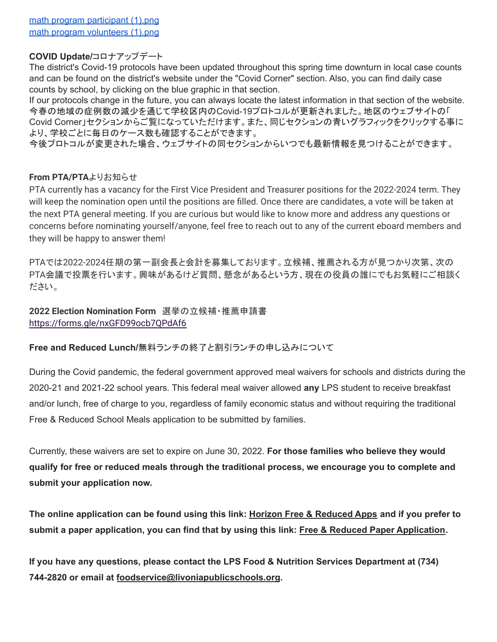## **COVID Update/**コロナアップデート

The district's Covid-19 protocols have been updated throughout this spring time downturn in local case counts and can be found on the district's website under the "Covid Corner" section. Also, you can find daily case counts by school, by clicking on the blue graphic in that section.

If our protocols change in the future, you can always locate the latest information in that section of the website. 今春の地域の症例数の減少を通じて学校区内のCovid-19プロトコルが更新されました。地区のウェブサイトの「 Covid Corner」セクションからご覧になっていただけます。また、同じセクションの青いグラフィックをクリックする事に より、学校ごとに毎日のケース数も確認することができます。

今後プロトコルが変更された場合、ウェブサイトの同セクションからいつでも最新情報を見つけることができます。

## **From PTA/PTA**よりお知らせ

PTA currently has a vacancy for the First Vice President and Treasurer positions for the 2022-2024 term. They will keep the nomination open until the positions are filled. Once there are candidates, a vote will be taken at the next PTA general meeting. If you are curious but would like to know more and address any questions or concerns before nominating yourself/anyone, feel free to reach out to any of the current eboard members and they will be happy to answer them!

PTAでは2022‐2024任期の第一副会長と会計を募集しております。立候補、推薦される方が見つかり次第、次の PTA会議で投票を行います。興味があるけど質問、懸念があるという方、現在の役員の誰にでもお気軽にご相談く ださい。

**2022 Election Nomination Form** 選挙の立候補・推薦申請書 <https://forms.gle/nxGFD99ocb7QPdAf6>

**Free and Reduced Lunch/**無料ランチの終了と割引ランチの申し込みについて

During the Covid pandemic, the federal government approved meal waivers for schools and districts during the 2020-21 and 2021-22 school years. This federal meal waiver allowed **any** LPS student to receive breakfast and/or lunch, free of charge to you, regardless of family economic status and without requiring the traditional Free & Reduced School Meals application to be submitted by families.

Currently, these waivers are set to expire on June 30, 2022. **For those families who believe they would qualify for free or reduced meals through the traditional process, we encourage you to complete and submit your application now.**

The online application can be found using this link: Horizon Free & [Reduced](http://track.spe.schoolmessenger.com/f/a/wJG7soAPgv5Bd1k_GxHYTw~~/AAAAAQA~/RgRkVpzhP0QoaHR0cHM6Ly9mcmFwcHMuaG9yaXpvbnNvbGFuYS5jb20vd2VsY29tZVcHc2Nob29sbUIKYnBhaXViAVMeyFIgbGRlbHVjYUBsaXZvbmlhcHVibGljc2Nob29scy5vcmdYBAAAAAE~) Apps and if you prefer to submit a paper application, you can find that by using this link: Free & Reduced Paper [Application](http://track.spe.schoolmessenger.com/f/a/qHI_l2BxqEP4UIcylJbiKQ~~/AAAAAQA~/RgRkVpzhP0SWaHR0cHM6Ly93d3cubGl2b25pYXB1YmxpY3NjaG9vbHMub3JnL2Ntcy9saWIvTUk1MDAwMDQ1MS9DZW50cmljaXR5L0RvbWFpbi8yNTEvMjAyMS0yMiUyMExQUyUyMEZyZWVfYW5kX1JlZHVjZWQtcHJpY2VfYXBwbGljYXRpb25fNjUzNzg1XzclMjAwNzEyMjEucGRmVwdzY2hvb2xtQgpicGFpdWIBUx7IUiBsZGVsdWNhQGxpdm9uaWFwdWJsaWNzY2hvb2xzLm9yZ1gEAAAAAQ~~).

**If you have any questions, please contact the LPS Food & Nutrition Services Department at (734) 744-2820 or email at [foodservice@livoniapublicschools.org](mailto:foodservice@livoniapublicschools.org).**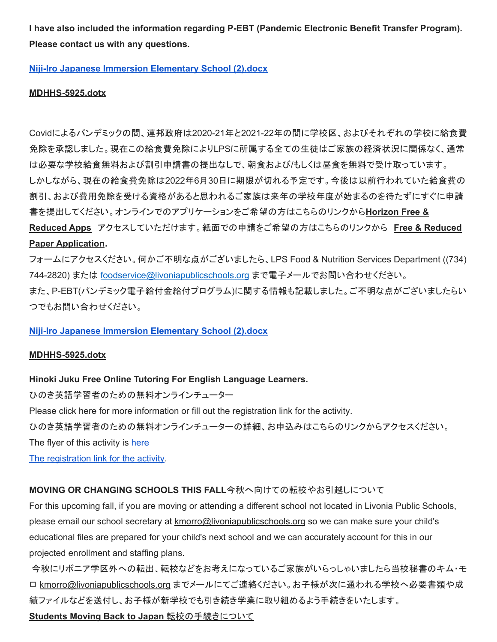**I have also included the information regarding P-EBT (Pandemic Electronic Benefit Transfer Program). Please contact us with any questions.**

**Niji-Iro Japanese Immersion [Elementary](http://track.spe.schoolmessenger.com/f/a/DP3zaTqA-z3v0WCmdThttw~~/AAAAAQA~/RgRkeKyMP0R1aHR0cHM6Ly9tc2cuc2Nob29sbWVzc2VuZ2VyLmNvbS9tLz9zPU1aWnprclBtczRZJm1hbD0zOTA5ZDg0MWJjMDY2NzI1YTNiMWZmMWE0M2ZkZTUyNTA4ZDhiZGZhMjM3MWQ3ZjNlNGFkNWU4YzUwYTY0YzBlVwdzY2hvb2xtQgpihgx5l2JkZMUTUitOaWppLUlyb19QcmluY2lwYWxAbGl2b25pYXB1YmxpY3NjaG9vbHMub3JnWAQAAAAB) School (2).docx**

#### **[MDHHS-5925.dotx](http://track.spe.schoolmessenger.com/f/a/7TMlFDvOxH7u2YKLxl3LMA~~/AAAAAQA~/RgRkWoTVP4RHAWh0dHA6Ly90cmFjay5zcGUuc2Nob29sbWVzc2VuZ2VyLmNvbS9mL2EveVBFaW03MXNtbHNOOEt1SXVWOE4wUX5-L0FBQUFBUUF-L1JnUmtXa3dGUDBSMWFIUjBjSE02THk5dGMyY3VjMk5vYjI5c2JXVnpjMlZ1WjJWeUxtTnZiUzl0THo5elBXWkVhRzFwZVVvMlUxTkpKbTFoYkQweFpXTm1abVZqTlRabU1HRTFNVE0wTjJZNFlUTTNZbVZrWXprek5HTTBNMlZrWVdRM056UTFOR1l4TVRBMFpUZzNNVGd5TkRnelpqUTROelU0TnpVMVZ3ZHpZMmh2YjJ4dFFncGljSVVZZVdJQlU0UDRVaUJzWkdWc2RXTmhRR3hwZG05dWFXRndkV0pzYVdOelkyaHZiMnh6TG05eVoxZ0VBQUFBQVF-flcHc2Nob29sbUIKYm9VUXli_5j50VIgbGRlbHVjYUBsaXZvbmlhcHVibGljc2Nob29scy5vcmdYBAAAAAE~)**

Covidによるパンデミックの間、連邦政府は2020-21年と2021-22年の間に学校区、およびそれぞれの学校に給食費 免除を承認しました。現在この給食費免除によりLPSに所属する全ての生徒はご家族の経済状況に関係なく、通常 は必要な学校給食無料および割引申請書の提出なしで、朝食および/もしくは昼食を無料で受け取っています。 しかしながら、現在の給食費免除は2022年6月30日に期限が切れる予定です。今後は以前行われていた給食費の 割引、および費用免除を受ける資格があると思われるご家族は来年の学校年度が始まるのを待たずにすぐに申請 書を提出してください。オンラインでのアプリケーションをご希望の方はこちらのリンクから**[Horizon](http://track.spe.schoolmessenger.com/f/a/wJG7soAPgv5Bd1k_GxHYTw~~/AAAAAQA~/RgRkVpzhP0QoaHR0cHM6Ly9mcmFwcHMuaG9yaXpvbnNvbGFuYS5jb20vd2VsY29tZVcHc2Nob29sbUIKYnBhaXViAVMeyFIgbGRlbHVjYUBsaXZvbmlhcHVibGljc2Nob29scy5vcmdYBAAAAAE~) Free & [Reduced](http://track.spe.schoolmessenger.com/f/a/wJG7soAPgv5Bd1k_GxHYTw~~/AAAAAQA~/RgRkVpzhP0QoaHR0cHM6Ly9mcmFwcHMuaG9yaXpvbnNvbGFuYS5jb20vd2VsY29tZVcHc2Nob29sbUIKYnBhaXViAVMeyFIgbGRlbHVjYUBsaXZvbmlhcHVibGljc2Nob29scy5vcmdYBAAAAAE~) Apps** アクセスしていただけます。紙面での申請をご希望の方はこちらのリンクから **Free & [Reduced](http://track.spe.schoolmessenger.com/f/a/qHI_l2BxqEP4UIcylJbiKQ~~/AAAAAQA~/RgRkVpzhP0SWaHR0cHM6Ly93d3cubGl2b25pYXB1YmxpY3NjaG9vbHMub3JnL2Ntcy9saWIvTUk1MDAwMDQ1MS9DZW50cmljaXR5L0RvbWFpbi8yNTEvMjAyMS0yMiUyMExQUyUyMEZyZWVfYW5kX1JlZHVjZWQtcHJpY2VfYXBwbGljYXRpb25fNjUzNzg1XzclMjAwNzEyMjEucGRmVwdzY2hvb2xtQgpicGFpdWIBUx7IUiBsZGVsdWNhQGxpdm9uaWFwdWJsaWNzY2hvb2xzLm9yZ1gEAAAAAQ~~)**

#### **Paper [Application](http://track.spe.schoolmessenger.com/f/a/qHI_l2BxqEP4UIcylJbiKQ~~/AAAAAQA~/RgRkVpzhP0SWaHR0cHM6Ly93d3cubGl2b25pYXB1YmxpY3NjaG9vbHMub3JnL2Ntcy9saWIvTUk1MDAwMDQ1MS9DZW50cmljaXR5L0RvbWFpbi8yNTEvMjAyMS0yMiUyMExQUyUyMEZyZWVfYW5kX1JlZHVjZWQtcHJpY2VfYXBwbGljYXRpb25fNjUzNzg1XzclMjAwNzEyMjEucGRmVwdzY2hvb2xtQgpicGFpdWIBUx7IUiBsZGVsdWNhQGxpdm9uaWFwdWJsaWNzY2hvb2xzLm9yZ1gEAAAAAQ~~).**

フォームにアクセスください。何かご不明な点がございましたら、LPS Food & Nutrition Services Department ((734) 744-2820) または foodservice@livoniapublicschools.org まで電子メールでお問い合わせください。

また、P-EBT(パンデミック電子給付金給付プログラム)に関する情報も記載しました。ご不明な点がございましたらい つでもお問い合わせください。

#### **Niji-Iro Japanese Immersion [Elementary](http://track.spe.schoolmessenger.com/f/a/DP3zaTqA-z3v0WCmdThttw~~/AAAAAQA~/RgRkeKyMP0R1aHR0cHM6Ly9tc2cuc2Nob29sbWVzc2VuZ2VyLmNvbS9tLz9zPU1aWnprclBtczRZJm1hbD0zOTA5ZDg0MWJjMDY2NzI1YTNiMWZmMWE0M2ZkZTUyNTA4ZDhiZGZhMjM3MWQ3ZjNlNGFkNWU4YzUwYTY0YzBlVwdzY2hvb2xtQgpihgx5l2JkZMUTUitOaWppLUlyb19QcmluY2lwYWxAbGl2b25pYXB1YmxpY3NjaG9vbHMub3JnWAQAAAAB) School (2).docx**

#### **[MDHHS-5925.dotx](http://track.spe.schoolmessenger.com/f/a/7TMlFDvOxH7u2YKLxl3LMA~~/AAAAAQA~/RgRkWoTVP4RHAWh0dHA6Ly90cmFjay5zcGUuc2Nob29sbWVzc2VuZ2VyLmNvbS9mL2EveVBFaW03MXNtbHNOOEt1SXVWOE4wUX5-L0FBQUFBUUF-L1JnUmtXa3dGUDBSMWFIUjBjSE02THk5dGMyY3VjMk5vYjI5c2JXVnpjMlZ1WjJWeUxtTnZiUzl0THo5elBXWkVhRzFwZVVvMlUxTkpKbTFoYkQweFpXTm1abVZqTlRabU1HRTFNVE0wTjJZNFlUTTNZbVZrWXprek5HTTBNMlZrWVdRM056UTFOR1l4TVRBMFpUZzNNVGd5TkRnelpqUTROelU0TnpVMVZ3ZHpZMmh2YjJ4dFFncGljSVVZZVdJQlU0UDRVaUJzWkdWc2RXTmhRR3hwZG05dWFXRndkV0pzYVdOelkyaHZiMnh6TG05eVoxZ0VBQUFBQVF-flcHc2Nob29sbUIKYm9VUXli_5j50VIgbGRlbHVjYUBsaXZvbmlhcHVibGljc2Nob29scy5vcmdYBAAAAAE~)**

#### **Hinoki Juku Free Online Tutoring For English Language Learners.**

ひのき英語学習者のための無料オンラインチューター

Please click [here](https://drive.google.com/file/d/1mQuWps-in8TTfgn5GFKIm5bKv8u5lmfc/view) for more information or fill out the [registration](https://forms.gle/wS7JTewaFBSw7Vw57) link for the activity.

ひのき英語学習者のための無料オンラインチューターの詳細、お申込みはこちらのリンクからアクセスください。

The flyer of this activity is [here](https://drive.google.com/file/d/1mQuWps-in8TTfgn5GFKIm5bKv8u5lmfc/view)

The [registration](https://forms.gle/wS7JTewaFBSw7Vw57) link for the activity.

#### **MOVING OR CHANGING SCHOOLS THIS FALL**今秋へ向けての転校やお引越しについて

For this upcoming fall, if you are moving or attending a different school not located in Livonia Public Schools, please email our school secretary at [kmorro@livoniapublicschools.org](mailto:kmorro@livoniapublicschools.org) so we can make sure your child's educational files are prepared for your child's next school and we can accurately account for this in our projected enrollment and staffing plans.

今秋にリボニア学区外への転出、転校などをお考えになっているご家族がいらっしゃいましたら当校秘書のキム・モ ロ [kmorro@livoniapublicschools.org](mailto:kmorro@livoniapublicschools.org) までメールにてご連絡ください。お子様が次に通われる学校へ必要書類や成 績ファイルなどを送付し、お子様が新学校でも引き続き学業に取り組めるよう手続きをいたします。 **Students Moving Back to Japan** 転校の手続きについて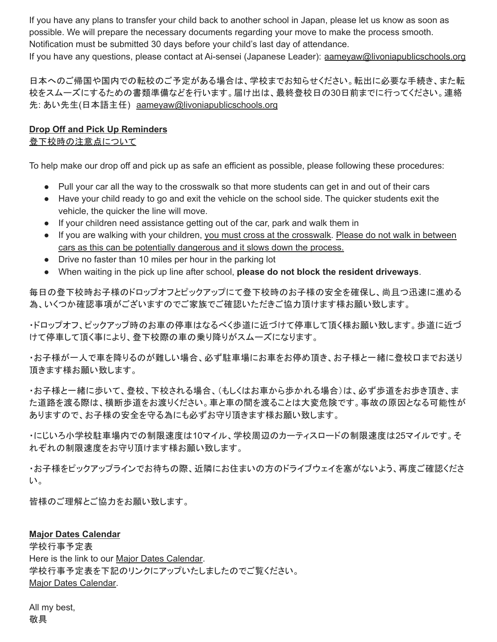If you have any plans to transfer your child back to another school in Japan, please let us know as soon as possible. We will prepare the necessary documents regarding your move to make the process smooth. Notification must be submitted 30 days before your child's last day of attendance.

If you have any questions, please contact at Ai-sensei (Japanese Leader): [aameyaw@livoniapublicschools.org](mailto:aameyaw@livoniapublicschools.org)

日本へのご帰国や国内での転校のご予定がある場合は、学校までお知らせください。転出に必要な手続き、また転 校をスムーズにするための書類準備などを行います。届け出は、最終登校日の30日前までに行ってください。連絡 先: あい先生(日本語主任) [aameyaw@livoniapublicschools.org](mailto:aameyaw@livoniapublicschools.org)

## **Drop Off and Pick Up Reminders**

## 登下校時の注意点について

To help make our drop off and pick up as safe an efficient as possible, please following these procedures:

- Pull your car all the way to the crosswalk so that more students can get in and out of their cars
- Have your child ready to go and exit the vehicle on the school side. The quicker students exit the vehicle, the quicker the line will move.
- If your children need assistance getting out of the car, park and walk them in
- If you are walking with your children, you must cross at the crosswalk. Please do not walk in between cars as this can be potentially dangerous and it slows down the process.
- Drive no faster than 10 miles per hour in the parking lot
- When waiting in the pick up line after school, **please do not block the resident driveways**.

毎日の登下校時お子様のドロップオフとピックアップにて登下校時のお子様の安全を確保し、尚且つ迅速に進める 為、いくつか確認事項がございますのでご家族でご確認いただきご協力頂けます様お願い致します。

・ドロップオフ、ピックアップ時のお車の停車はなるべく歩道に近づけて停車して頂く様お願い致します。歩道に近づ けて停車して頂く事により、登下校際の車の乗り降りがスムーズになります。

・お子様が一人で車を降りるのが難しい場合、必ず駐車場にお車をお停め頂き、お子様と一緒に登校口までお送り 頂きます様お願い致します。

・お子様と一緒に歩いて、登校、下校される場合、(もしくはお車から歩かれる場合)は、必ず歩道をお歩き頂き、ま た道路を渡る際は、横断歩道をお渡りください。車と車の間を渡ることは大変危険です。事故の原因となる可能性が ありますので、お子様の安全を守る為にも必ずお守り頂きます様お願い致します。

・にじいろ小学校駐車場内での制限速度は10マイル、学校周辺のカーティスロードの制限速度は25マイルです。そ れぞれの制限速度をお守り頂けます様お願い致します。

・お子様をピックアップラインでお待ちの際、近隣にお住まいの方のドライブウェイを塞がないよう、再度ご確認くださ い。

皆様のご理解とご協力をお願い致します。

# **Major Dates Calendar**

学校行事予定表 Here is the link to our Major Dates [Calendar.](https://www.livoniapublicschools.org/cms/lib/MI50000451/Centricity/Domain/24/Niji-Iro%20Major%20Dates%20Calendar.pdf) 学校行事予定表を下記のリンクにアップいたしましたのでご覧ください。 Major Dates [Calendar.](https://www.livoniapublicschools.org/cms/lib/MI50000451/Centricity/Domain/24/Niji-Iro%20Major%20Dates%20Calendar.pdf)

All my best, 敬具